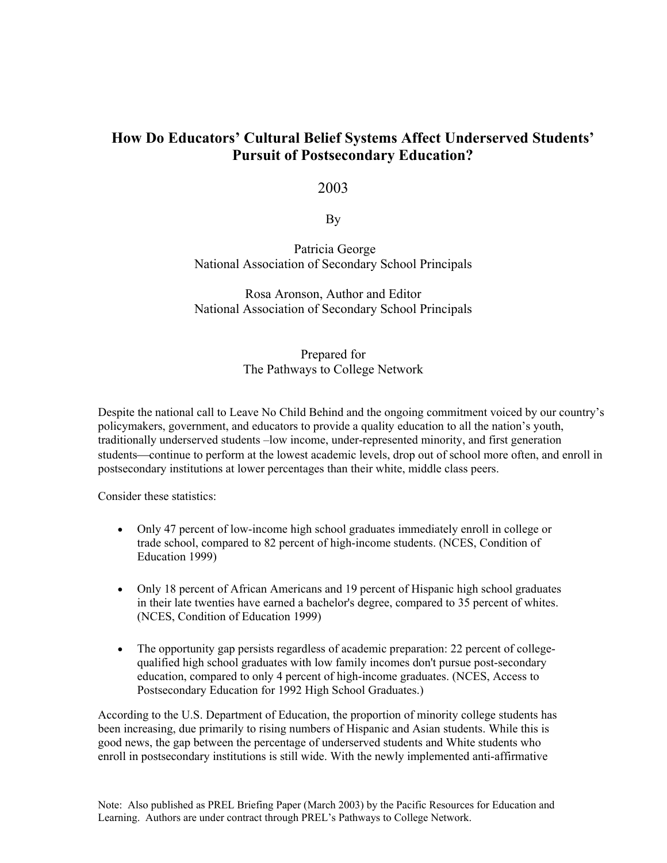# **How Do Educators' Cultural Belief Systems Affect Underserved Students' Pursuit of Postsecondary Education?**

# 2003

By

 Patricia George National Association of Secondary School Principals

Rosa Aronson, Author and Editor National Association of Secondary School Principals

# Prepared for The Pathways to College Network

Despite the national call to Leave No Child Behind and the ongoing commitment voiced by our country's policymakers, government, and educators to provide a quality education to all the nation's youth, traditionally underserved students –low income, under-represented minority, and first generation students—continue to perform at the lowest academic levels, drop out of school more often, and enroll in postsecondary institutions at lower percentages than their white, middle class peers.

Consider these statistics:

- Only 47 percent of low-income high school graduates immediately enroll in college or trade school, compared to 82 percent of high-income students. (NCES, Condition of Education 1999)
- Only 18 percent of African Americans and 19 percent of Hispanic high school graduates in their late twenties have earned a bachelor's degree, compared to 35 percent of whites. (NCES, Condition of Education 1999)
- The opportunity gap persists regardless of academic preparation: 22 percent of collegequalified high school graduates with low family incomes don't pursue post-secondary education, compared to only 4 percent of high-income graduates. (NCES, Access to Postsecondary Education for 1992 High School Graduates.)

According to the U.S. Department of Education, the proportion of minority college students has been increasing, due primarily to rising numbers of Hispanic and Asian students. While this is good news, the gap between the percentage of underserved students and White students who enroll in postsecondary institutions is still wide. With the newly implemented anti-affirmative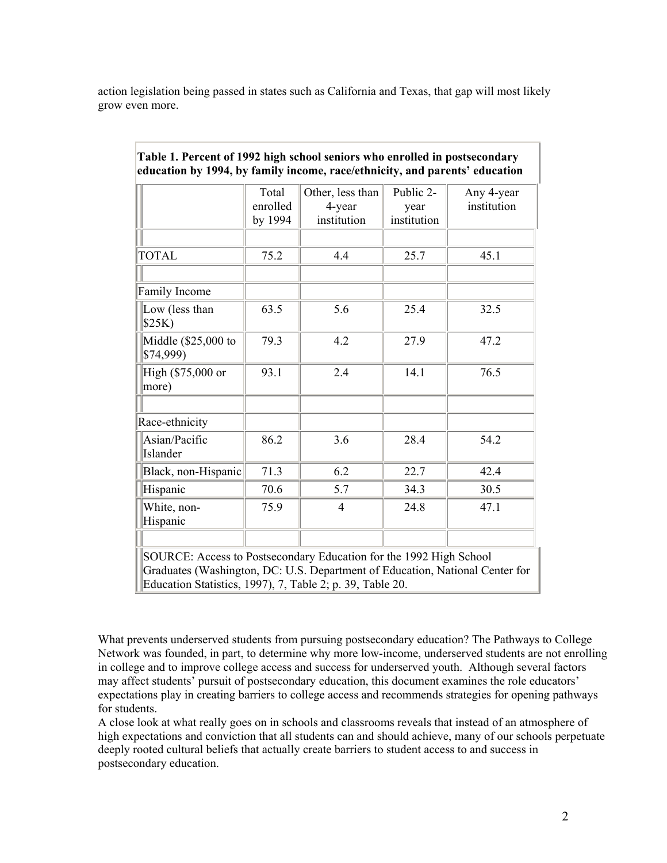action legislation being passed in states such as California and Texas, that gap will most likely grow even more.

|                                   | Total<br>enrolled<br>by 1994 | Other, less than<br>4-year<br>institution | Public 2-<br>year<br>institution | Any 4-year<br>institution |
|-----------------------------------|------------------------------|-------------------------------------------|----------------------------------|---------------------------|
| <b>TOTAL</b>                      | 75.2                         | 4.4                                       | 25.7                             | 45.1                      |
| Family Income                     |                              |                                           |                                  |                           |
| Low (less than<br>\$25K)          | 63.5                         | 5.6                                       | 25.4                             | 32.5                      |
| Middle $(\$25,000$ to<br>\$74,999 | 79.3                         | 4.2                                       | 27.9                             | 47.2                      |
| High (\$75,000 or<br>more)        | 93.1                         | 2.4                                       | 14.1                             | 76.5                      |
|                                   |                              |                                           |                                  |                           |
| Race-ethnicity                    |                              |                                           |                                  |                           |
| Asian/Pacific<br>Islander         | 86.2                         | 3.6                                       | 28.4                             | 54.2                      |
| Black, non-Hispanic               | 71.3                         | 6.2                                       | 22.7                             | 42.4                      |
| Hispanic                          | 70.6                         | 5.7                                       | 34.3                             | 30.5                      |
| White, non-<br>Hispanic           | 75.9                         | 4                                         | 24.8                             | 47.1                      |
|                                   |                              |                                           |                                  |                           |

# **Table 1. Percent of 1992 high school seniors who enrolled in postsecondary education by 1994, by family income, race/ethnicity, and parents' education**

What prevents underserved students from pursuing postsecondary education? The Pathways to College Network was founded, in part, to determine why more low-income, underserved students are not enrolling in college and to improve college access and success for underserved youth. Although several factors may affect students' pursuit of postsecondary education, this document examines the role educators' expectations play in creating barriers to college access and recommends strategies for opening pathways for students.

A close look at what really goes on in schools and classrooms reveals that instead of an atmosphere of high expectations and conviction that all students can and should achieve, many of our schools perpetuate deeply rooted cultural beliefs that actually create barriers to student access to and success in postsecondary education.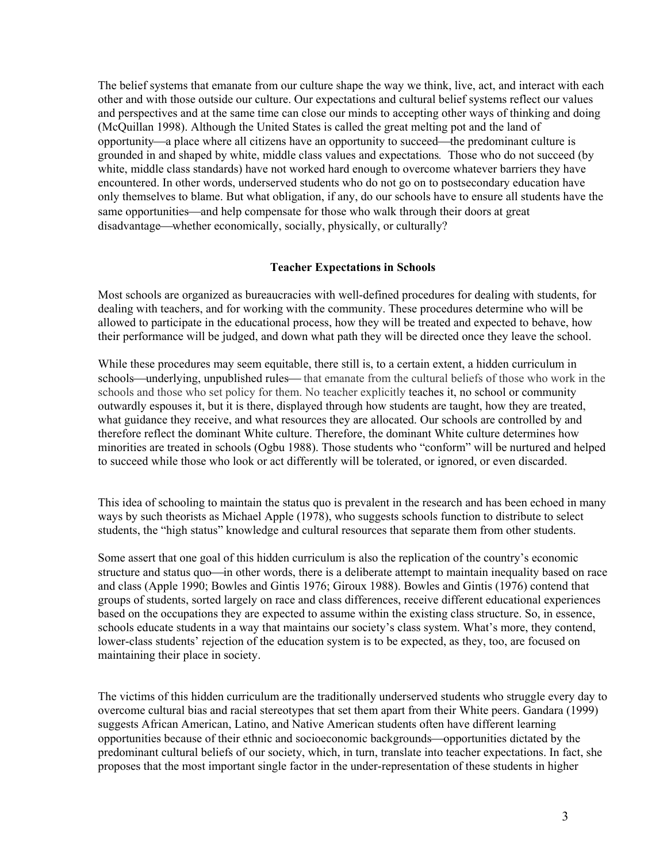The belief systems that emanate from our culture shape the way we think, live, act, and interact with each other and with those outside our culture. Our expectations and cultural belief systems reflect our values and perspectives and at the same time can close our minds to accepting other ways of thinking and doing (McQuillan 1998). Although the United States is called the great melting pot and the land of opportunity—a place where all citizens have an opportunity to succeed—the predominant culture is grounded in and shaped by white, middle class values and expectations*.* Those who do not succeed (by white, middle class standards) have not worked hard enough to overcome whatever barriers they have encountered. In other words, underserved students who do not go on to postsecondary education have only themselves to blame. But what obligation, if any, do our schools have to ensure all students have the same opportunities—and help compensate for those who walk through their doors at great disadvantage—whether economically, socially, physically, or culturally?

#### **Teacher Expectations in Schools**

Most schools are organized as bureaucracies with well-defined procedures for dealing with students, for dealing with teachers, and for working with the community. These procedures determine who will be allowed to participate in the educational process, how they will be treated and expected to behave, how their performance will be judged, and down what path they will be directed once they leave the school.

While these procedures may seem equitable, there still is, to a certain extent, a hidden curriculum in schools—underlying, unpublished rules—that emanate from the cultural beliefs of those who work in the schools and those who set policy for them. No teacher explicitly teaches it, no school or community outwardly espouses it, but it is there, displayed through how students are taught, how they are treated, what guidance they receive, and what resources they are allocated. Our schools are controlled by and therefore reflect the dominant White culture. Therefore, the dominant White culture determines how minorities are treated in schools (Ogbu 1988). Those students who "conform" will be nurtured and helped to succeed while those who look or act differently will be tolerated, or ignored, or even discarded.

This idea of schooling to maintain the status quo is prevalent in the research and has been echoed in many ways by such theorists as Michael Apple (1978), who suggests schools function to distribute to select students, the "high status" knowledge and cultural resources that separate them from other students.

Some assert that one goal of this hidden curriculum is also the replication of the country's economic structure and status quo—in other words, there is a deliberate attempt to maintain inequality based on race and class (Apple 1990; Bowles and Gintis 1976; Giroux 1988). Bowles and Gintis (1976) contend that groups of students, sorted largely on race and class differences, receive different educational experiences based on the occupations they are expected to assume within the existing class structure. So, in essence, schools educate students in a way that maintains our society's class system. What's more, they contend, lower-class students' rejection of the education system is to be expected, as they, too, are focused on maintaining their place in society.

The victims of this hidden curriculum are the traditionally underserved students who struggle every day to overcome cultural bias and racial stereotypes that set them apart from their White peers. Gandara (1999) suggests African American, Latino, and Native American students often have different learning opportunities because of their ethnic and socioeconomic backgrounds—opportunities dictated by the predominant cultural beliefs of our society, which, in turn, translate into teacher expectations. In fact, she proposes that the most important single factor in the under-representation of these students in higher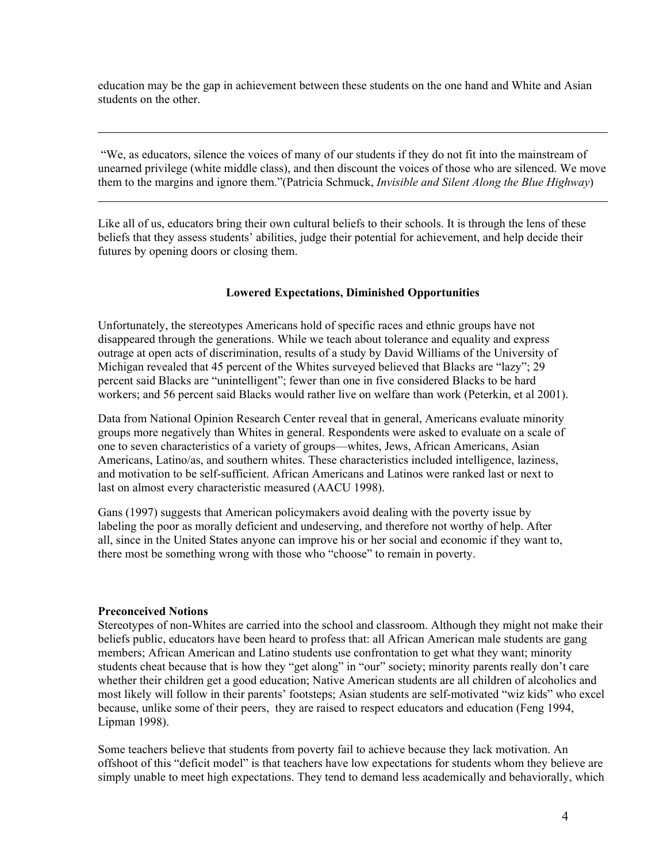education may be the gap in achievement between these students on the one hand and White and Asian students on the other.

 "We, as educators, silence the voices of many of our students if they do not fit into the mainstream of unearned privilege (white middle class), and then discount the voices of those who are silenced. We move them to the margins and ignore them."(Patricia Schmuck, *Invisible and Silent Along the Blue Highway*)

Like all of us, educators bring their own cultural beliefs to their schools. It is through the lens of these beliefs that they assess students' abilities, judge their potential for achievement, and help decide their futures by opening doors or closing them.

#### **Lowered Expectations, Diminished Opportunities**

Unfortunately, the stereotypes Americans hold of specific races and ethnic groups have not disappeared through the generations. While we teach about tolerance and equality and express outrage at open acts of discrimination, results of a study by David Williams of the University of Michigan revealed that 45 percent of the Whites surveyed believed that Blacks are "lazy"; 29 percent said Blacks are "unintelligent"; fewer than one in five considered Blacks to be hard workers; and 56 percent said Blacks would rather live on welfare than work (Peterkin, et al 2001).

Data from National Opinion Research Center reveal that in general, Americans evaluate minority groups more negatively than Whites in general. Respondents were asked to evaluate on a scale of one to seven characteristics of a variety of groups—whites, Jews, African Americans, Asian Americans, Latino/as, and southern whites. These characteristics included intelligence, laziness, and motivation to be self-sufficient. African Americans and Latinos were ranked last or next to last on almost every characteristic measured (AACU 1998).

Gans (1997) suggests that American policymakers avoid dealing with the poverty issue by labeling the poor as morally deficient and undeserving, and therefore not worthy of help. After all, since in the United States anyone can improve his or her social and economic if they want to, there most be something wrong with those who "choose" to remain in poverty.

#### **Preconceived Notions**

l

l

Stereotypes of non-Whites are carried into the school and classroom. Although they might not make their beliefs public, educators have been heard to profess that: all African American male students are gang members; African American and Latino students use confrontation to get what they want; minority students cheat because that is how they "get along" in "our" society; minority parents really don't care whether their children get a good education; Native American students are all children of alcoholics and most likely will follow in their parents' footsteps; Asian students are self-motivated "wiz kids" who excel because, unlike some of their peers, they are raised to respect educators and education (Feng 1994, Lipman 1998).

Some teachers believe that students from poverty fail to achieve because they lack motivation. An offshoot of this "deficit model" is that teachers have low expectations for students whom they believe are simply unable to meet high expectations. They tend to demand less academically and behaviorally, which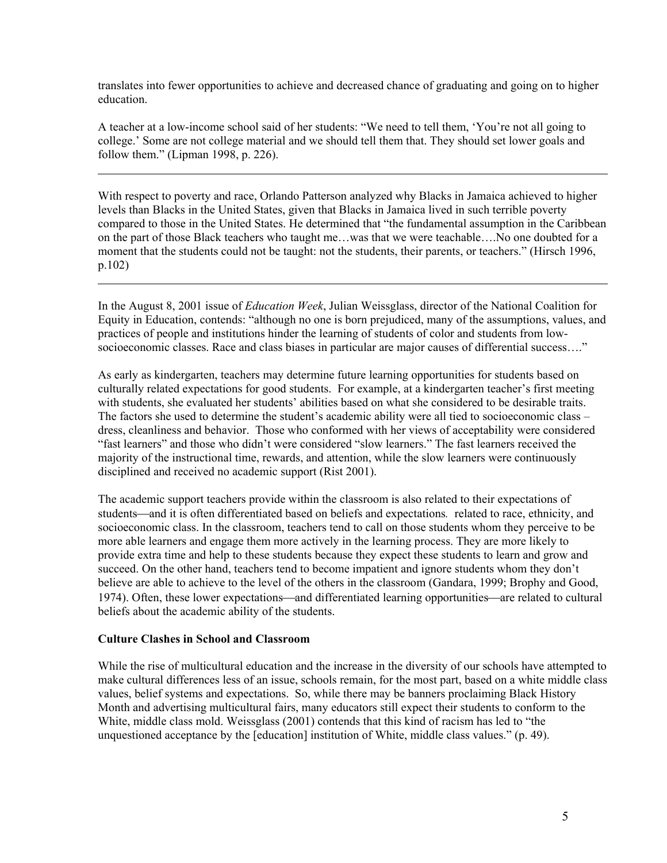translates into fewer opportunities to achieve and decreased chance of graduating and going on to higher education.

A teacher at a low-income school said of her students: "We need to tell them, 'You're not all going to college.' Some are not college material and we should tell them that. They should set lower goals and follow them." (Lipman 1998, p. 226).

With respect to poverty and race, Orlando Patterson analyzed why Blacks in Jamaica achieved to higher levels than Blacks in the United States, given that Blacks in Jamaica lived in such terrible poverty compared to those in the United States. He determined that "the fundamental assumption in the Caribbean on the part of those Black teachers who taught me…was that we were teachable….No one doubted for a moment that the students could not be taught: not the students, their parents, or teachers." (Hirsch 1996, p.102)

In the August 8, 2001 issue of *Education Week*, Julian Weissglass, director of the National Coalition for Equity in Education, contends: "although no one is born prejudiced, many of the assumptions, values, and practices of people and institutions hinder the learning of students of color and students from lowsocioeconomic classes. Race and class biases in particular are major causes of differential success…."

As early as kindergarten, teachers may determine future learning opportunities for students based on culturally related expectations for good students. For example, at a kindergarten teacher's first meeting with students, she evaluated her students' abilities based on what she considered to be desirable traits. The factors she used to determine the student's academic ability were all tied to socioeconomic class – dress, cleanliness and behavior.Those who conformed with her views of acceptability were considered "fast learners" and those who didn't were considered "slow learners." The fast learners received the majority of the instructional time, rewards, and attention, while the slow learners were continuously disciplined and received no academic support (Rist 2001).

The academic support teachers provide within the classroom is also related to their expectations of students—and it is often differentiated based on beliefs and expectations, related to race, ethnicity, and socioeconomic class. In the classroom, teachers tend to call on those students whom they perceive to be more able learners and engage them more actively in the learning process. They are more likely to provide extra time and help to these students because they expect these students to learn and grow and succeed. On the other hand, teachers tend to become impatient and ignore students whom they don't believe are able to achieve to the level of the others in the classroom (Gandara, 1999; Brophy and Good, 1974). Often, these lower expectations—and differentiated learning opportunities—are related to cultural beliefs about the academic ability of the students.

# **Culture Clashes in School and Classroom**

 $\overline{a}$ 

l

While the rise of multicultural education and the increase in the diversity of our schools have attempted to make cultural differences less of an issue, schools remain, for the most part, based on a white middle class values, belief systems and expectations. So, while there may be banners proclaiming Black History Month and advertising multicultural fairs, many educators still expect their students to conform to the White, middle class mold. Weissglass (2001) contends that this kind of racism has led to "the unquestioned acceptance by the [education] institution of White, middle class values." (p. 49).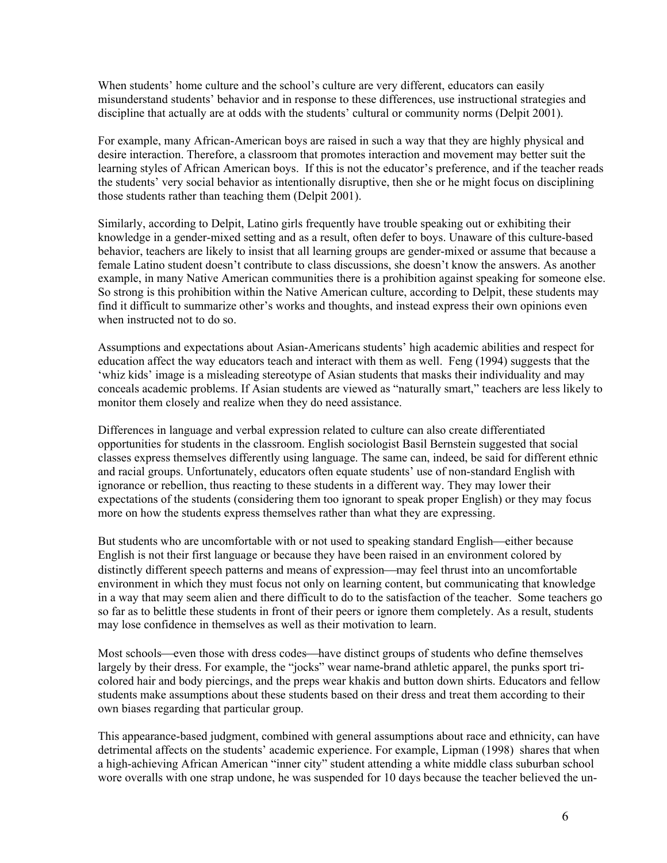When students' home culture and the school's culture are very different, educators can easily misunderstand students' behavior and in response to these differences, use instructional strategies and discipline that actually are at odds with the students' cultural or community norms (Delpit 2001).

For example, many African-American boys are raised in such a way that they are highly physical and desire interaction. Therefore, a classroom that promotes interaction and movement may better suit the learning styles of African American boys. If this is not the educator's preference, and if the teacher reads the students' very social behavior as intentionally disruptive, then she or he might focus on disciplining those students rather than teaching them (Delpit 2001).

Similarly, according to Delpit, Latino girls frequently have trouble speaking out or exhibiting their knowledge in a gender-mixed setting and as a result, often defer to boys. Unaware of this culture-based behavior, teachers are likely to insist that all learning groups are gender-mixed or assume that because a female Latino student doesn't contribute to class discussions, she doesn't know the answers. As another example, in many Native American communities there is a prohibition against speaking for someone else. So strong is this prohibition within the Native American culture, according to Delpit, these students may find it difficult to summarize other's works and thoughts, and instead express their own opinions even when instructed not to do so.

Assumptions and expectations about Asian-Americans students' high academic abilities and respect for education affect the way educators teach and interact with them as well. Feng (1994) suggests that the 'whiz kids' image is a misleading stereotype of Asian students that masks their individuality and may conceals academic problems. If Asian students are viewed as "naturally smart," teachers are less likely to monitor them closely and realize when they do need assistance.

Differences in language and verbal expression related to culture can also create differentiated opportunities for students in the classroom. English sociologist Basil Bernstein suggested that social classes express themselves differently using language. The same can, indeed, be said for different ethnic and racial groups. Unfortunately, educators often equate students' use of non-standard English with ignorance or rebellion, thus reacting to these students in a different way. They may lower their expectations of the students (considering them too ignorant to speak proper English) or they may focus more on how the students express themselves rather than what they are expressing.

But students who are uncomfortable with or not used to speaking standard English—either because English is not their first language or because they have been raised in an environment colored by distinctly different speech patterns and means of expression—may feel thrust into an uncomfortable environment in which they must focus not only on learning content, but communicating that knowledge in a way that may seem alien and there difficult to do to the satisfaction of the teacher. Some teachers go so far as to belittle these students in front of their peers or ignore them completely. As a result, students may lose confidence in themselves as well as their motivation to learn.

Most schools—even those with dress codes—have distinct groups of students who define themselves largely by their dress. For example, the "jocks" wear name-brand athletic apparel, the punks sport tricolored hair and body piercings, and the preps wear khakis and button down shirts. Educators and fellow students make assumptions about these students based on their dress and treat them according to their own biases regarding that particular group.

This appearance-based judgment, combined with general assumptions about race and ethnicity, can have detrimental affects on the students' academic experience. For example, Lipman (1998) shares that when a high-achieving African American "inner city" student attending a white middle class suburban school wore overalls with one strap undone, he was suspended for 10 days because the teacher believed the un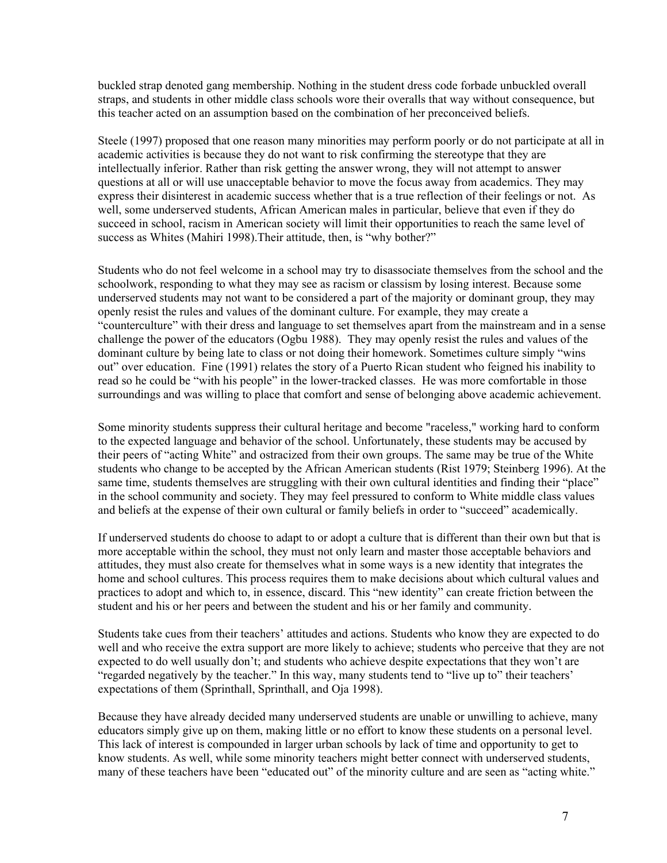buckled strap denoted gang membership. Nothing in the student dress code forbade unbuckled overall straps, and students in other middle class schools wore their overalls that way without consequence, but this teacher acted on an assumption based on the combination of her preconceived beliefs.

Steele (1997) proposed that one reason many minorities may perform poorly or do not participate at all in academic activities is because they do not want to risk confirming the stereotype that they are intellectually inferior. Rather than risk getting the answer wrong, they will not attempt to answer questions at all or will use unacceptable behavior to move the focus away from academics. They may express their disinterest in academic success whether that is a true reflection of their feelings or not. As well, some underserved students, African American males in particular, believe that even if they do succeed in school, racism in American society will limit their opportunities to reach the same level of success as Whites (Mahiri 1998). Their attitude, then, is "why bother?"

Students who do not feel welcome in a school may try to disassociate themselves from the school and the schoolwork, responding to what they may see as racism or classism by losing interest. Because some underserved students may not want to be considered a part of the majority or dominant group, they may openly resist the rules and values of the dominant culture. For example, they may create a "counterculture" with their dress and language to set themselves apart from the mainstream and in a sense challenge the power of the educators (Ogbu 1988). They may openly resist the rules and values of the dominant culture by being late to class or not doing their homework. Sometimes culture simply "wins out" over education. Fine (1991) relates the story of a Puerto Rican student who feigned his inability to read so he could be "with his people" in the lower-tracked classes. He was more comfortable in those surroundings and was willing to place that comfort and sense of belonging above academic achievement.

Some minority students suppress their cultural heritage and become "raceless," working hard to conform to the expected language and behavior of the school. Unfortunately, these students may be accused by their peers of "acting White" and ostracized from their own groups. The same may be true of the White students who change to be accepted by the African American students (Rist 1979; Steinberg 1996). At the same time, students themselves are struggling with their own cultural identities and finding their "place" in the school community and society. They may feel pressured to conform to White middle class values and beliefs at the expense of their own cultural or family beliefs in order to "succeed" academically.

If underserved students do choose to adapt to or adopt a culture that is different than their own but that is more acceptable within the school, they must not only learn and master those acceptable behaviors and attitudes, they must also create for themselves what in some ways is a new identity that integrates the home and school cultures. This process requires them to make decisions about which cultural values and practices to adopt and which to, in essence, discard. This "new identity" can create friction between the student and his or her peers and between the student and his or her family and community.

Students take cues from their teachers' attitudes and actions. Students who know they are expected to do well and who receive the extra support are more likely to achieve; students who perceive that they are not expected to do well usually don't; and students who achieve despite expectations that they won't are "regarded negatively by the teacher." In this way, many students tend to "live up to" their teachers' expectations of them (Sprinthall, Sprinthall, and Oja 1998).

Because they have already decided many underserved students are unable or unwilling to achieve, many educators simply give up on them, making little or no effort to know these students on a personal level. This lack of interest is compounded in larger urban schools by lack of time and opportunity to get to know students. As well, while some minority teachers might better connect with underserved students, many of these teachers have been "educated out" of the minority culture and are seen as "acting white."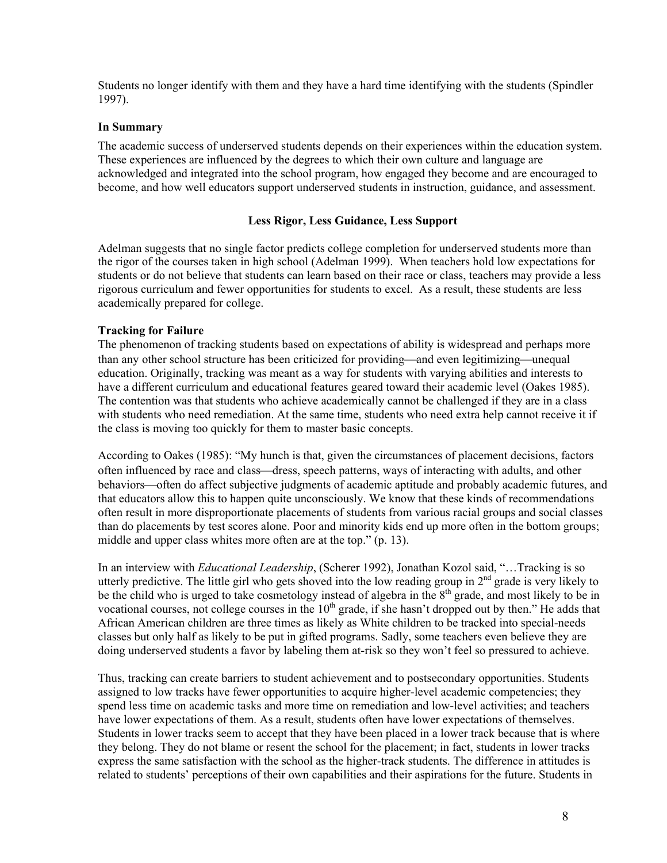Students no longer identify with them and they have a hard time identifying with the students (Spindler 1997).

#### **In Summary**

The academic success of underserved students depends on their experiences within the education system. These experiences are influenced by the degrees to which their own culture and language are acknowledged and integrated into the school program, how engaged they become and are encouraged to become, and how well educators support underserved students in instruction, guidance, and assessment.

#### **Less Rigor, Less Guidance, Less Support**

Adelman suggests that no single factor predicts college completion for underserved students more than the rigor of the courses taken in high school (Adelman 1999). When teachers hold low expectations for students or do not believe that students can learn based on their race or class, teachers may provide a less rigorous curriculum and fewer opportunities for students to excel. As a result, these students are less academically prepared for college.

#### **Tracking for Failure**

The phenomenon of tracking students based on expectations of ability is widespread and perhaps more than any other school structure has been criticized for providing—and even legitimizing—unequal education. Originally, tracking was meant as a way for students with varying abilities and interests to have a different curriculum and educational features geared toward their academic level (Oakes 1985). The contention was that students who achieve academically cannot be challenged if they are in a class with students who need remediation. At the same time, students who need extra help cannot receive it if the class is moving too quickly for them to master basic concepts.

According to Oakes (1985): "My hunch is that, given the circumstances of placement decisions, factors often influenced by race and class—dress, speech patterns, ways of interacting with adults, and other behaviors—often do affect subjective judgments of academic aptitude and probably academic futures, and that educators allow this to happen quite unconsciously. We know that these kinds of recommendations often result in more disproportionate placements of students from various racial groups and social classes than do placements by test scores alone. Poor and minority kids end up more often in the bottom groups; middle and upper class whites more often are at the top." (p. 13).

In an interview with *Educational Leadership*, (Scherer 1992), Jonathan Kozol said, "…Tracking is so utterly predictive. The little girl who gets shoved into the low reading group in  $2<sup>nd</sup>$  grade is very likely to be the child who is urged to take cosmetology instead of algebra in the  $8<sup>th</sup>$  grade, and most likely to be in vocational courses, not college courses in the  $10<sup>th</sup>$  grade, if she hasn't dropped out by then." He adds that African American children are three times as likely as White children to be tracked into special-needs classes but only half as likely to be put in gifted programs. Sadly, some teachers even believe they are doing underserved students a favor by labeling them at-risk so they won't feel so pressured to achieve.

Thus, tracking can create barriers to student achievement and to postsecondary opportunities. Students assigned to low tracks have fewer opportunities to acquire higher-level academic competencies; they spend less time on academic tasks and more time on remediation and low-level activities; and teachers have lower expectations of them. As a result, students often have lower expectations of themselves. Students in lower tracks seem to accept that they have been placed in a lower track because that is where they belong. They do not blame or resent the school for the placement; in fact, students in lower tracks express the same satisfaction with the school as the higher-track students. The difference in attitudes is related to students' perceptions of their own capabilities and their aspirations for the future. Students in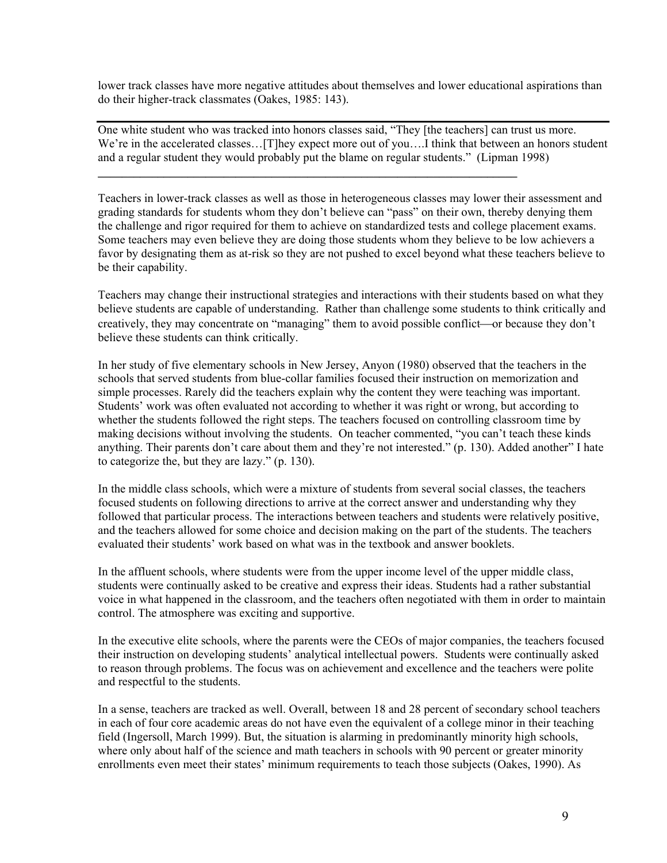lower track classes have more negative attitudes about themselves and lower educational aspirations than do their higher-track classmates (Oakes, 1985: 143).

One white student who was tracked into honors classes said, "They [the teachers] can trust us more. We're in the accelerated classes...[T]hey expect more out of you....] think that between an honors student and a regular student they would probably put the blame on regular students." (Lipman 1998)

**\_\_\_\_\_\_\_\_\_\_\_\_\_\_\_\_\_\_\_\_\_\_\_\_\_\_\_\_\_\_\_\_\_\_\_\_\_\_\_\_\_\_\_\_\_\_\_\_\_\_\_\_\_\_\_\_\_\_\_\_\_\_\_\_\_\_\_\_\_\_** 

Teachers in lower-track classes as well as those in heterogeneous classes may lower their assessment and grading standards for students whom they don't believe can "pass" on their own, thereby denying them the challenge and rigor required for them to achieve on standardized tests and college placement exams. Some teachers may even believe they are doing those students whom they believe to be low achievers a favor by designating them as at-risk so they are not pushed to excel beyond what these teachers believe to be their capability.

Teachers may change their instructional strategies and interactions with their students based on what they believe students are capable of understanding. Rather than challenge some students to think critically and creatively, they may concentrate on "managing" them to avoid possible conflict—or because they don't believe these students can think critically.

In her study of five elementary schools in New Jersey, Anyon (1980) observed that the teachers in the schools that served students from blue-collar families focused their instruction on memorization and simple processes. Rarely did the teachers explain why the content they were teaching was important. Students' work was often evaluated not according to whether it was right or wrong, but according to whether the students followed the right steps. The teachers focused on controlling classroom time by making decisions without involving the students. On teacher commented, "you can't teach these kinds anything. Their parents don't care about them and they're not interested." (p. 130). Added another" I hate to categorize the, but they are lazy." (p. 130).

In the middle class schools, which were a mixture of students from several social classes, the teachers focused students on following directions to arrive at the correct answer and understanding why they followed that particular process. The interactions between teachers and students were relatively positive, and the teachers allowed for some choice and decision making on the part of the students. The teachers evaluated their students' work based on what was in the textbook and answer booklets.

In the affluent schools, where students were from the upper income level of the upper middle class, students were continually asked to be creative and express their ideas. Students had a rather substantial voice in what happened in the classroom, and the teachers often negotiated with them in order to maintain control. The atmosphere was exciting and supportive.

In the executive elite schools, where the parents were the CEOs of major companies, the teachers focused their instruction on developing students' analytical intellectual powers. Students were continually asked to reason through problems. The focus was on achievement and excellence and the teachers were polite and respectful to the students.

In a sense, teachers are tracked as well. Overall, between 18 and 28 percent of secondary school teachers in each of four core academic areas do not have even the equivalent of a college minor in their teaching field (Ingersoll, March 1999). But, the situation is alarming in predominantly minority high schools, where only about half of the science and math teachers in schools with 90 percent or greater minority enrollments even meet their states' minimum requirements to teach those subjects (Oakes, 1990). As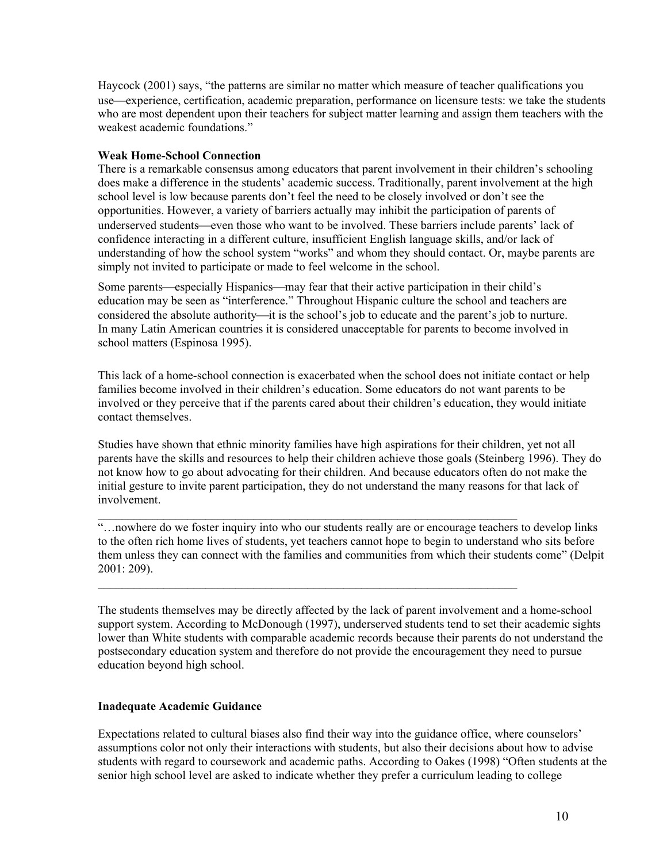Haycock (2001) says, "the patterns are similar no matter which measure of teacher qualifications you use—experience, certification, academic preparation, performance on licensure tests: we take the students who are most dependent upon their teachers for subject matter learning and assign them teachers with the weakest academic foundations."

# **Weak Home-School Connection**

There is a remarkable consensus among educators that parent involvement in their children's schooling does make a difference in the students' academic success. Traditionally, parent involvement at the high school level is low because parents don't feel the need to be closely involved or don't see the opportunities. However, a variety of barriers actually may inhibit the participation of parents of underserved students—even those who want to be involved. These barriers include parents' lack of confidence interacting in a different culture, insufficient English language skills, and/or lack of understanding of how the school system "works" and whom they should contact. Or, maybe parents are simply not invited to participate or made to feel welcome in the school.

Some parents—especially Hispanics—may fear that their active participation in their child's education may be seen as "interference." Throughout Hispanic culture the school and teachers are considered the absolute authority—it is the school's job to educate and the parent's job to nurture. In many Latin American countries it is considered unacceptable for parents to become involved in school matters (Espinosa 1995).

This lack of a home-school connection is exacerbated when the school does not initiate contact or help families become involved in their children's education. Some educators do not want parents to be involved or they perceive that if the parents cared about their children's education, they would initiate contact themselves.

Studies have shown that ethnic minority families have high aspirations for their children, yet not all parents have the skills and resources to help their children achieve those goals (Steinberg 1996). They do not know how to go about advocating for their children. And because educators often do not make the initial gesture to invite parent participation, they do not understand the many reasons for that lack of involvement.

"…nowhere do we foster inquiry into who our students really are or encourage teachers to develop links to the often rich home lives of students, yet teachers cannot hope to begin to understand who sits before them unless they can connect with the families and communities from which their students come" (Delpit 2001: 209).

\_\_\_\_\_\_\_\_\_\_\_\_\_\_\_\_\_\_\_\_\_\_\_\_\_\_\_\_\_\_\_\_\_\_\_\_\_\_\_\_\_\_\_\_\_\_\_\_\_\_\_\_\_\_\_\_\_\_\_\_\_\_\_\_\_\_\_\_\_\_

The students themselves may be directly affected by the lack of parent involvement and a home-school support system. According to McDonough (1997), underserved students tend to set their academic sights lower than White students with comparable academic records because their parents do not understand the postsecondary education system and therefore do not provide the encouragement they need to pursue education beyond high school.

# **Inadequate Academic Guidance**

Expectations related to cultural biases also find their way into the guidance office, where counselors' assumptions color not only their interactions with students, but also their decisions about how to advise students with regard to coursework and academic paths. According to Oakes (1998) "Often students at the senior high school level are asked to indicate whether they prefer a curriculum leading to college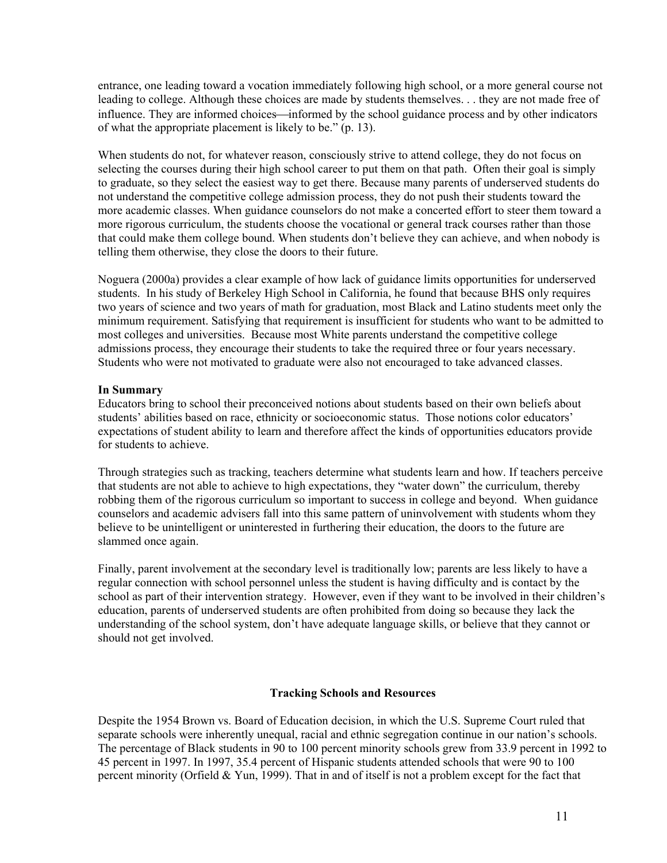entrance, one leading toward a vocation immediately following high school, or a more general course not leading to college. Although these choices are made by students themselves. . . they are not made free of influence. They are informed choices—informed by the school guidance process and by other indicators of what the appropriate placement is likely to be." (p. 13).

When students do not, for whatever reason, consciously strive to attend college, they do not focus on selecting the courses during their high school career to put them on that path. Often their goal is simply to graduate, so they select the easiest way to get there. Because many parents of underserved students do not understand the competitive college admission process, they do not push their students toward the more academic classes. When guidance counselors do not make a concerted effort to steer them toward a more rigorous curriculum, the students choose the vocational or general track courses rather than those that could make them college bound. When students don't believe they can achieve, and when nobody is telling them otherwise, they close the doors to their future.

Noguera (2000a) provides a clear example of how lack of guidance limits opportunities for underserved students. In his study of Berkeley High School in California, he found that because BHS only requires two years of science and two years of math for graduation, most Black and Latino students meet only the minimum requirement. Satisfying that requirement is insufficient for students who want to be admitted to most colleges and universities. Because most White parents understand the competitive college admissions process, they encourage their students to take the required three or four years necessary. Students who were not motivated to graduate were also not encouraged to take advanced classes.

# **In Summary**

Educators bring to school their preconceived notions about students based on their own beliefs about students' abilities based on race, ethnicity or socioeconomic status. Those notions color educators' expectations of student ability to learn and therefore affect the kinds of opportunities educators provide for students to achieve.

Through strategies such as tracking, teachers determine what students learn and how. If teachers perceive that students are not able to achieve to high expectations, they "water down" the curriculum, thereby robbing them of the rigorous curriculum so important to success in college and beyond. When guidance counselors and academic advisers fall into this same pattern of uninvolvement with students whom they believe to be unintelligent or uninterested in furthering their education, the doors to the future are slammed once again.

Finally, parent involvement at the secondary level is traditionally low; parents are less likely to have a regular connection with school personnel unless the student is having difficulty and is contact by the school as part of their intervention strategy. However, even if they want to be involved in their children's education, parents of underserved students are often prohibited from doing so because they lack the understanding of the school system, don't have adequate language skills, or believe that they cannot or should not get involved.

# **Tracking Schools and Resources**

Despite the 1954 Brown vs. Board of Education decision, in which the U.S. Supreme Court ruled that separate schools were inherently unequal, racial and ethnic segregation continue in our nation's schools. The percentage of Black students in 90 to 100 percent minority schools grew from 33.9 percent in 1992 to 45 percent in 1997. In 1997, 35.4 percent of Hispanic students attended schools that were 90 to 100 percent minority (Orfield & Yun, 1999). That in and of itself is not a problem except for the fact that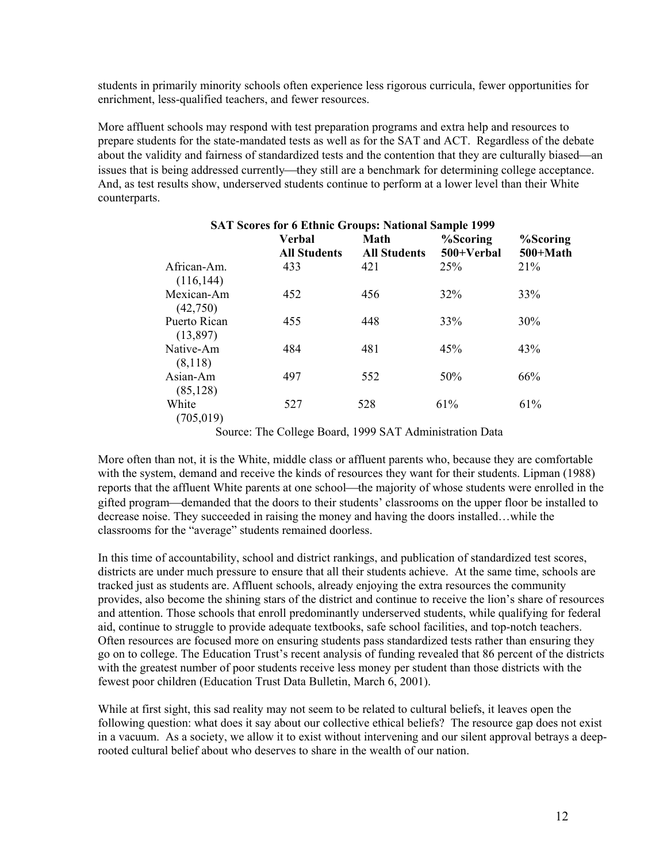students in primarily minority schools often experience less rigorous curricula, fewer opportunities for enrichment, less-qualified teachers, and fewer resources.

More affluent schools may respond with test preparation programs and extra help and resources to prepare students for the state-mandated tests as well as for the SAT and ACT. Regardless of the debate about the validity and fairness of standardized tests and the contention that they are culturally biased—an issues that is being addressed currently—they still are a benchmark for determining college acceptance. And, as test results show, underserved students continue to perform at a lower level than their White counterparts.

| <b>SAT Scores for 6 Ethnic Groups: National Sample 1999</b> |                                      |                             |                        |                        |  |  |  |
|-------------------------------------------------------------|--------------------------------------|-----------------------------|------------------------|------------------------|--|--|--|
|                                                             | <b>Verbal</b><br><b>All Students</b> | Math<br><b>All Students</b> | %Scoring<br>500+Verbal | %Scoring<br>$500+Math$ |  |  |  |
| African-Am.<br>(116, 144)                                   | 433                                  | 421                         | <b>25%</b>             | 21%                    |  |  |  |
| Mexican-Am<br>(42,750)                                      | 452                                  | 456                         | 32%                    | 33%                    |  |  |  |
| Puerto Rican<br>(13,897)                                    | 455                                  | 448                         | 33%                    | 30%                    |  |  |  |
| Native-Am<br>(8,118)                                        | 484                                  | 481                         | 45%                    | 43%                    |  |  |  |
| Asian-Am<br>(85, 128)                                       | 497                                  | 552                         | 50%                    | 66%                    |  |  |  |
| White<br>(705, 019)                                         | 527                                  | 528                         | 61%                    | 61%                    |  |  |  |

Source: The College Board, 1999 SAT Administration Data

More often than not, it is the White, middle class or affluent parents who, because they are comfortable with the system, demand and receive the kinds of resources they want for their students. Lipman (1988) reports that the affluent White parents at one school—the majority of whose students were enrolled in the gifted program—demanded that the doors to their students' classrooms on the upper floor be installed to decrease noise. They succeeded in raising the money and having the doors installed…while the classrooms for the "average" students remained doorless.

In this time of accountability, school and district rankings, and publication of standardized test scores, districts are under much pressure to ensure that all their students achieve. At the same time, schools are tracked just as students are. Affluent schools, already enjoying the extra resources the community provides, also become the shining stars of the district and continue to receive the lion's share of resources and attention. Those schools that enroll predominantly underserved students, while qualifying for federal aid, continue to struggle to provide adequate textbooks, safe school facilities, and top-notch teachers. Often resources are focused more on ensuring students pass standardized tests rather than ensuring they go on to college. The Education Trust's recent analysis of funding revealed that 86 percent of the districts with the greatest number of poor students receive less money per student than those districts with the fewest poor children (Education Trust Data Bulletin, March 6, 2001).

While at first sight, this sad reality may not seem to be related to cultural beliefs, it leaves open the following question: what does it say about our collective ethical beliefs? The resource gap does not exist in a vacuum. As a society, we allow it to exist without intervening and our silent approval betrays a deeprooted cultural belief about who deserves to share in the wealth of our nation.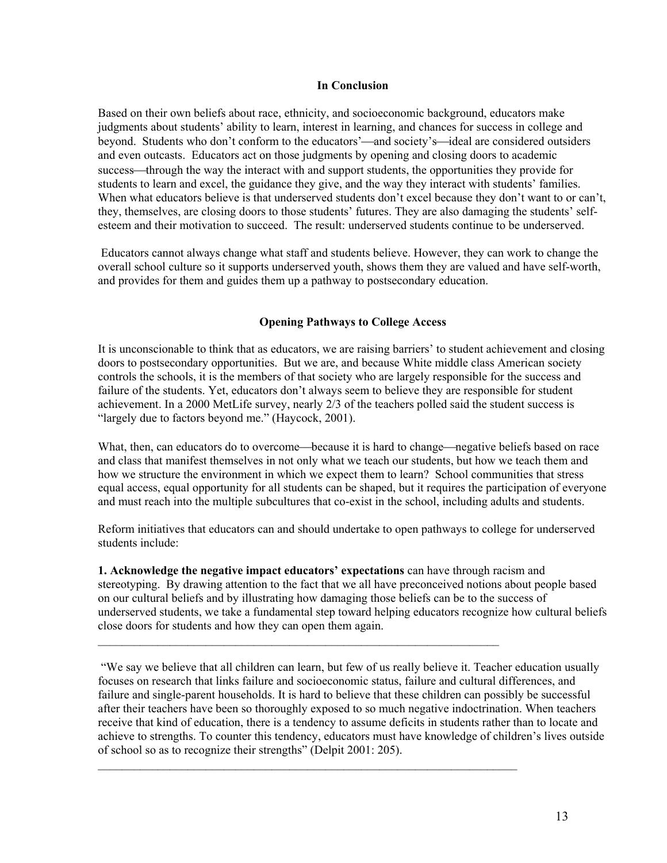#### **In Conclusion**

Based on their own beliefs about race, ethnicity, and socioeconomic background, educators make judgments about students' ability to learn, interest in learning, and chances for success in college and beyond. Students who don't conform to the educators'—and society's—ideal are considered outsiders and even outcasts. Educators act on those judgments by opening and closing doors to academic success—through the way the interact with and support students, the opportunities they provide for students to learn and excel, the guidance they give, and the way they interact with students' families. When what educators believe is that underserved students don't excel because they don't want to or can't, they, themselves, are closing doors to those students' futures. They are also damaging the students' selfesteem and their motivation to succeed. The result: underserved students continue to be underserved.

 Educators cannot always change what staff and students believe. However, they can work to change the overall school culture so it supports underserved youth, shows them they are valued and have self-worth, and provides for them and guides them up a pathway to postsecondary education.

# **Opening Pathways to College Access**

It is unconscionable to think that as educators, we are raising barriers' to student achievement and closing doors to postsecondary opportunities. But we are, and because White middle class American society controls the schools, it is the members of that society who are largely responsible for the success and failure of the students. Yet, educators don't always seem to believe they are responsible for student achievement. In a 2000 MetLife survey, nearly 2/3 of the teachers polled said the student success is "largely due to factors beyond me." (Haycock, 2001).

What, then, can educators do to overcome—because it is hard to change—negative beliefs based on race and class that manifest themselves in not only what we teach our students, but how we teach them and how we structure the environment in which we expect them to learn? School communities that stress equal access, equal opportunity for all students can be shaped, but it requires the participation of everyone and must reach into the multiple subcultures that co-exist in the school, including adults and students.

Reform initiatives that educators can and should undertake to open pathways to college for underserved students include:

**1. Acknowledge the negative impact educators' expectations** can have through racism and stereotyping. By drawing attention to the fact that we all have preconceived notions about people based on our cultural beliefs and by illustrating how damaging those beliefs can be to the success of underserved students, we take a fundamental step toward helping educators recognize how cultural beliefs close doors for students and how they can open them again.

 $\mathcal{L}_\text{max} = \frac{1}{2} \sum_{i=1}^n \mathcal{L}_\text{max} = \frac{1}{2} \sum_{i=1}^n \mathcal{L}_\text{max} = \frac{1}{2} \sum_{i=1}^n \mathcal{L}_\text{max} = \frac{1}{2} \sum_{i=1}^n \mathcal{L}_\text{max} = \frac{1}{2} \sum_{i=1}^n \mathcal{L}_\text{max} = \frac{1}{2} \sum_{i=1}^n \mathcal{L}_\text{max} = \frac{1}{2} \sum_{i=1}^n \mathcal{L}_\text{max} = \frac{1}{2} \sum_{i=$ 

 $\mathcal{L}_\text{max}$  and  $\mathcal{L}_\text{max}$  and  $\mathcal{L}_\text{max}$  and  $\mathcal{L}_\text{max}$  and  $\mathcal{L}_\text{max}$ 

 "We say we believe that all children can learn, but few of us really believe it. Teacher education usually focuses on research that links failure and socioeconomic status, failure and cultural differences, and failure and single-parent households. It is hard to believe that these children can possibly be successful after their teachers have been so thoroughly exposed to so much negative indoctrination. When teachers receive that kind of education, there is a tendency to assume deficits in students rather than to locate and achieve to strengths. To counter this tendency, educators must have knowledge of children's lives outside of school so as to recognize their strengths" (Delpit 2001: 205).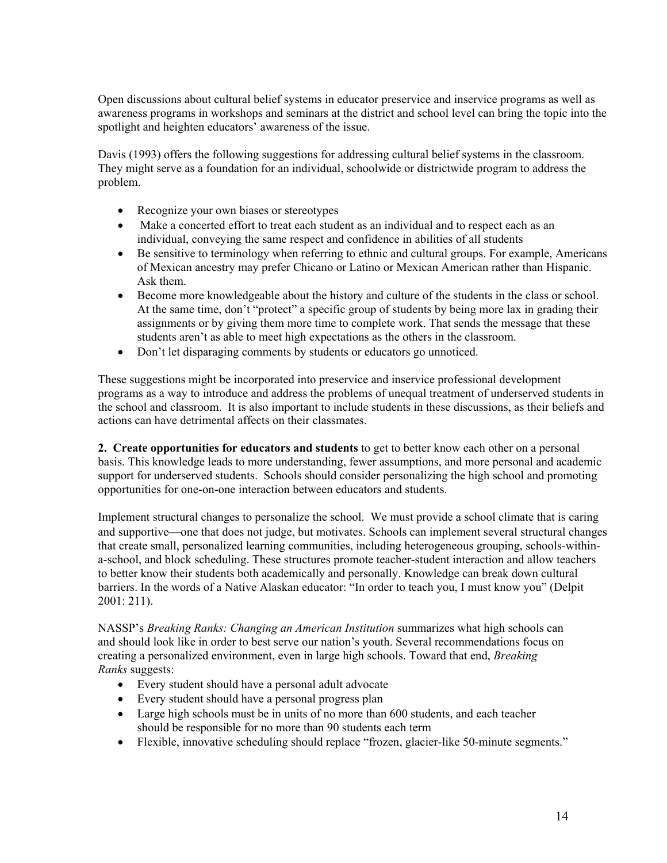Open discussions about cultural belief systems in educator preservice and inservice programs as well as awareness programs in workshops and seminars at the district and school level can bring the topic into the spotlight and heighten educators' awareness of the issue.

Davis (1993) offers the following suggestions for addressing cultural belief systems in the classroom. They might serve as a foundation for an individual, schoolwide or districtwide program to address the problem.

- Recognize your own biases or stereotypes
- Make a concerted effort to treat each student as an individual and to respect each as an individual, conveying the same respect and confidence in abilities of all students
- Be sensitive to terminology when referring to ethnic and cultural groups. For example, Americans of Mexican ancestry may prefer Chicano or Latino or Mexican American rather than Hispanic. Ask them.
- Become more knowledgeable about the history and culture of the students in the class or school. At the same time, don't "protect" a specific group of students by being more lax in grading their assignments or by giving them more time to complete work. That sends the message that these students aren't as able to meet high expectations as the others in the classroom.
- Don't let disparaging comments by students or educators go unnoticed.

These suggestions might be incorporated into preservice and inservice professional development programs as a way to introduce and address the problems of unequal treatment of underserved students in the school and classroom. It is also important to include students in these discussions, as their beliefs and actions can have detrimental affects on their classmates.

**2. Create opportunities for educators and students** to get to better know each other on a personal basis. This knowledge leads to more understanding, fewer assumptions, and more personal and academic support for underserved students. Schools should consider personalizing the high school and promoting opportunities for one-on-one interaction between educators and students.

Implement structural changes to personalize the school.We must provide a school climate that is caring and supportive—one that does not judge, but motivates. Schools can implement several structural changes that create small, personalized learning communities, including heterogeneous grouping, schools-withina-school, and block scheduling. These structures promote teacher-student interaction and allow teachers to better know their students both academically and personally. Knowledge can break down cultural barriers. In the words of a Native Alaskan educator: "In order to teach you, I must know you" (Delpit 2001: 211).

NASSP's *Breaking Ranks: Changing an American Institution* summarizes what high schools can and should look like in order to best serve our nation's youth. Several recommendations focus on creating a personalized environment, even in large high schools. Toward that end, *Breaking Ranks* suggests:

- Every student should have a personal adult advocate
- Every student should have a personal progress plan
- Large high schools must be in units of no more than 600 students, and each teacher should be responsible for no more than 90 students each term
- Flexible, innovative scheduling should replace "frozen, glacier-like 50-minute segments."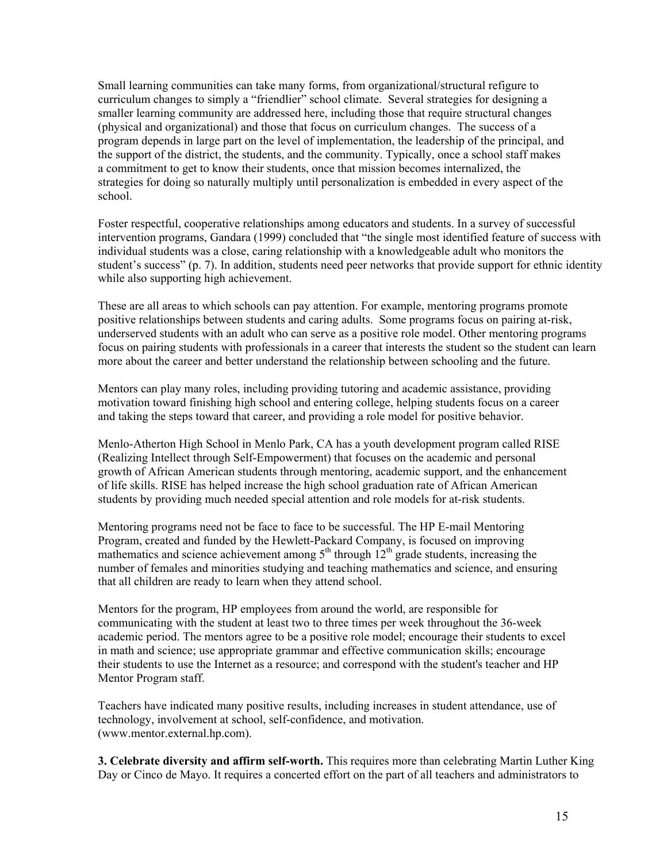Small learning communities can take many forms, from organizational/structural refigure to curriculum changes to simply a "friendlier" school climate. Several strategies for designing a smaller learning community are addressed here, including those that require structural changes (physical and organizational) and those that focus on curriculum changes. The success of a program depends in large part on the level of implementation, the leadership of the principal, and the support of the district, the students, and the community. Typically, once a school staff makes a commitment to get to know their students, once that mission becomes internalized, the strategies for doing so naturally multiply until personalization is embedded in every aspect of the school.

Foster respectful, cooperative relationships among educators and students. In a survey of successful intervention programs, Gandara (1999) concluded that "the single most identified feature of success with individual students was a close, caring relationship with a knowledgeable adult who monitors the student's success" (p. 7). In addition, students need peer networks that provide support for ethnic identity while also supporting high achievement.

These are all areas to which schools can pay attention. For example, mentoring programs promote positive relationships between students and caring adults. Some programs focus on pairing at-risk, underserved students with an adult who can serve as a positive role model. Other mentoring programs focus on pairing students with professionals in a career that interests the student so the student can learn more about the career and better understand the relationship between schooling and the future.

Mentors can play many roles, including providing tutoring and academic assistance, providing motivation toward finishing high school and entering college, helping students focus on a career and taking the steps toward that career, and providing a role model for positive behavior.

Menlo-Atherton High School in Menlo Park, CA has a youth development program called RISE (Realizing Intellect through Self-Empowerment) that focuses on the academic and personal growth of African American students through mentoring, academic support, and the enhancement of life skills. RISE has helped increase the high school graduation rate of African American students by providing much needed special attention and role models for at-risk students.

Mentoring programs need not be face to face to be successful. The HP E-mail Mentoring Program, created and funded by the Hewlett-Packard Company, is focused on improving mathematics and science achievement among  $5<sup>th</sup>$  through  $12<sup>th</sup>$  grade students, increasing the number of females and minorities studying and teaching mathematics and science, and ensuring that all children are ready to learn when they attend school.

Mentors for the program, HP employees from around the world, are responsible for communicating with the student at least two to three times per week throughout the 36-week academic period. The mentors agree to be a positive role model; encourage their students to excel in math and science; use appropriate grammar and effective communication skills; encourage their students to use the Internet as a resource; and correspond with the student's teacher and HP Mentor Program staff.

Teachers have indicated many positive results, including increases in student attendance, use of technology, involvement at school, self-confidence, and motivation. (www.mentor.external.hp.com).

**3. Celebrate diversity and affirm self-worth.** This requires more than celebrating Martin Luther King Day or Cinco de Mayo. It requires a concerted effort on the part of all teachers and administrators to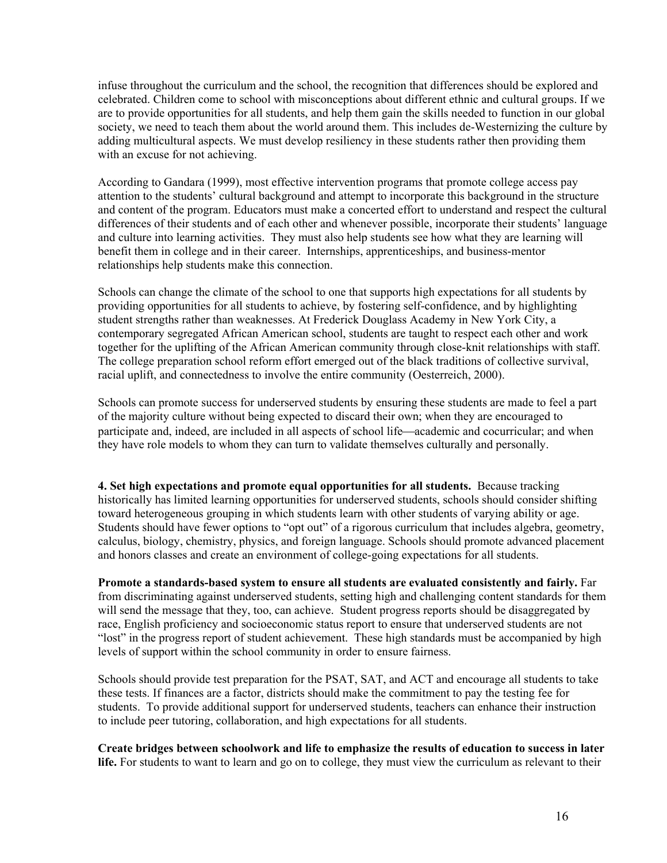infuse throughout the curriculum and the school, the recognition that differences should be explored and celebrated. Children come to school with misconceptions about different ethnic and cultural groups. If we are to provide opportunities for all students, and help them gain the skills needed to function in our global society, we need to teach them about the world around them. This includes de-Westernizing the culture by adding multicultural aspects. We must develop resiliency in these students rather then providing them with an excuse for not achieving.

According to Gandara (1999), most effective intervention programs that promote college access pay attention to the students' cultural background and attempt to incorporate this background in the structure and content of the program. Educators must make a concerted effort to understand and respect the cultural differences of their students and of each other and whenever possible, incorporate their students' language and culture into learning activities. They must also help students see how what they are learning will benefit them in college and in their career. Internships, apprenticeships, and business-mentor relationships help students make this connection.

Schools can change the climate of the school to one that supports high expectations for all students by providing opportunities for all students to achieve, by fostering self-confidence, and by highlighting student strengths rather than weaknesses. At Frederick Douglass Academy in New York City, a contemporary segregated African American school, students are taught to respect each other and work together for the uplifting of the African American community through close-knit relationships with staff. The college preparation school reform effort emerged out of the black traditions of collective survival, racial uplift, and connectedness to involve the entire community (Oesterreich, 2000).

Schools can promote success for underserved students by ensuring these students are made to feel a part of the majority culture without being expected to discard their own; when they are encouraged to participate and, indeed, are included in all aspects of school life—academic and cocurricular; and when they have role models to whom they can turn to validate themselves culturally and personally.

**4. Set high expectations and promote equal opportunities for all students.** Because tracking historically has limited learning opportunities for underserved students, schools should consider shifting toward heterogeneous grouping in which students learn with other students of varying ability or age. Students should have fewer options to "opt out" of a rigorous curriculum that includes algebra, geometry, calculus, biology, chemistry, physics, and foreign language. Schools should promote advanced placement and honors classes and create an environment of college-going expectations for all students.

**Promote a standards-based system to ensure all students are evaluated consistently and fairly.** Far from discriminating against underserved students, setting high and challenging content standards for them will send the message that they, too, can achieve. Student progress reports should be disaggregated by race, English proficiency and socioeconomic status report to ensure that underserved students are not "lost" in the progress report of student achievement. These high standards must be accompanied by high levels of support within the school community in order to ensure fairness.

Schools should provide test preparation for the PSAT, SAT, and ACT and encourage all students to take these tests. If finances are a factor, districts should make the commitment to pay the testing fee for students. To provide additional support for underserved students, teachers can enhance their instruction to include peer tutoring, collaboration, and high expectations for all students.

**Create bridges between schoolwork and life to emphasize the results of education to success in later life.** For students to want to learn and go on to college, they must view the curriculum as relevant to their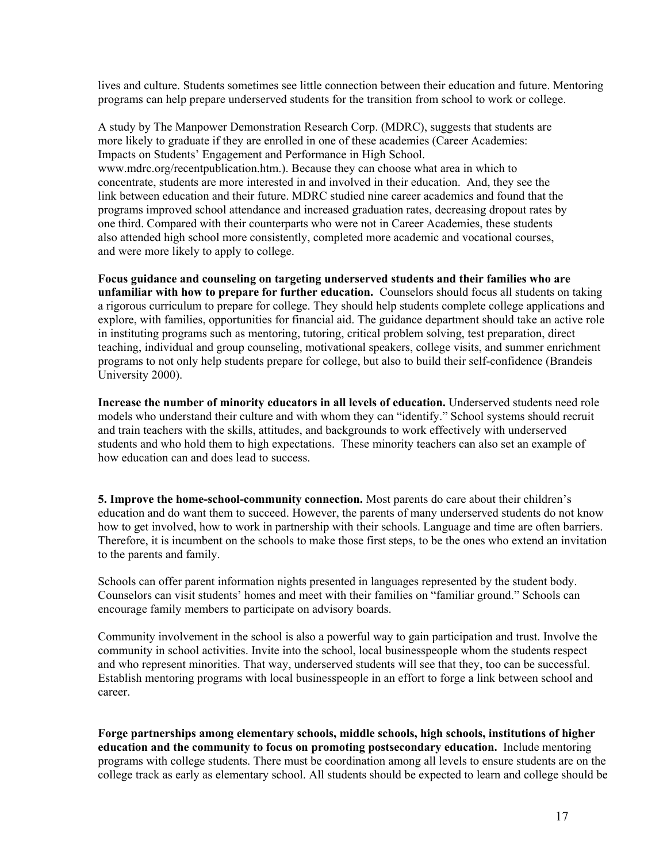lives and culture. Students sometimes see little connection between their education and future. Mentoring programs can help prepare underserved students for the transition from school to work or college.

A study by The Manpower Demonstration Research Corp. (MDRC), suggests that students are more likely to graduate if they are enrolled in one of these academies (Career Academies: Impacts on Students' Engagement and Performance in High School. www.mdrc.org/recentpublication.htm.). Because they can choose what area in which to concentrate, students are more interested in and involved in their education. And, they see the link between education and their future. MDRC studied nine career academics and found that the programs improved school attendance and increased graduation rates, decreasing dropout rates by one third. Compared with their counterparts who were not in Career Academies, these students also attended high school more consistently, completed more academic and vocational courses, and were more likely to apply to college.

**Focus guidance and counseling on targeting underserved students and their families who are unfamiliar with how to prepare for further education.** Counselors should focus all students on taking a rigorous curriculum to prepare for college. They should help students complete college applications and explore, with families, opportunities for financial aid. The guidance department should take an active role in instituting programs such as mentoring, tutoring, critical problem solving, test preparation, direct teaching, individual and group counseling, motivational speakers, college visits, and summer enrichment programs to not only help students prepare for college, but also to build their self-confidence (Brandeis University 2000).

**Increase the number of minority educators in all levels of education.** Underserved students need role models who understand their culture and with whom they can "identify." School systems should recruit and train teachers with the skills, attitudes, and backgrounds to work effectively with underserved students and who hold them to high expectations. These minority teachers can also set an example of how education can and does lead to success.

**5. Improve the home-school-community connection.** Most parents do care about their children's education and do want them to succeed. However, the parents of many underserved students do not know how to get involved, how to work in partnership with their schools. Language and time are often barriers. Therefore, it is incumbent on the schools to make those first steps, to be the ones who extend an invitation to the parents and family.

Schools can offer parent information nights presented in languages represented by the student body. Counselors can visit students' homes and meet with their families on "familiar ground." Schools can encourage family members to participate on advisory boards.

Community involvement in the school is also a powerful way to gain participation and trust. Involve the community in school activities. Invite into the school, local businesspeople whom the students respect and who represent minorities. That way, underserved students will see that they, too can be successful. Establish mentoring programs with local businesspeople in an effort to forge a link between school and career.

**Forge partnerships among elementary schools, middle schools, high schools, institutions of higher education and the community to focus on promoting postsecondary education.** Include mentoring programs with college students. There must be coordination among all levels to ensure students are on the college track as early as elementary school. All students should be expected to learn and college should be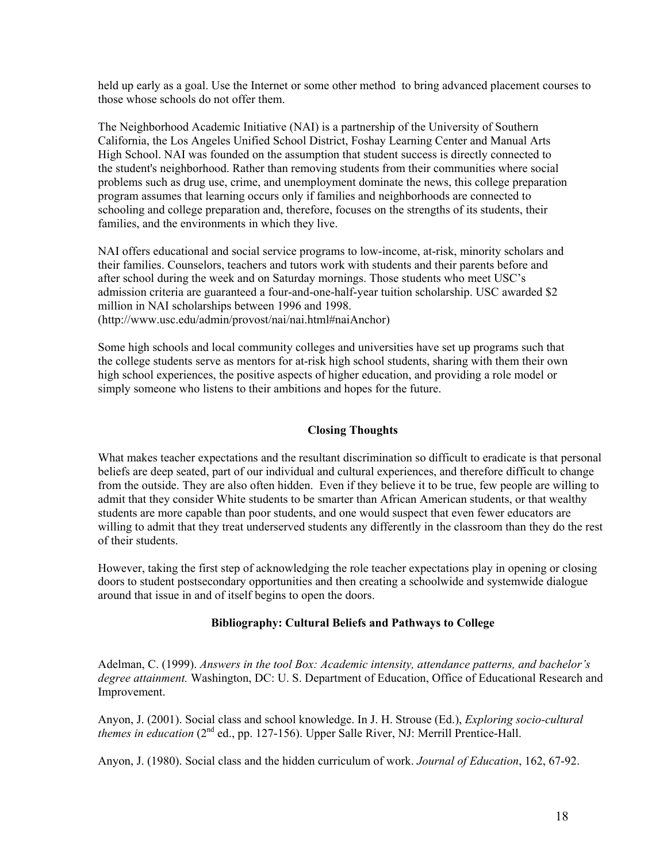held up early as a goal. Use the Internet or some other method to bring advanced placement courses to those whose schools do not offer them.

The Neighborhood Academic Initiative (NAI) is a partnership of the University of Southern California, the Los Angeles Unified School District, Foshay Learning Center and Manual Arts High School. NAI was founded on the assumption that student success is directly connected to the student's neighborhood. Rather than removing students from their communities where social problems such as drug use, crime, and unemployment dominate the news, this college preparation program assumes that learning occurs only if families and neighborhoods are connected to schooling and college preparation and, therefore, focuses on the strengths of its students, their families, and the environments in which they live.

NAI offers educational and social service programs to low-income, at-risk, minority scholars and their families. Counselors, teachers and tutors work with students and their parents before and after school during the week and on Saturday mornings. Those students who meet USC's admission criteria are guaranteed a four-and-one-half-year tuition scholarship. USC awarded \$2 million in NAI scholarships between 1996 and 1998.

(http://www.usc.edu/admin/provost/nai/nai.html#naiAnchor)

Some high schools and local community colleges and universities have set up programs such that the college students serve as mentors for at-risk high school students, sharing with them their own high school experiences, the positive aspects of higher education, and providing a role model or simply someone who listens to their ambitions and hopes for the future.

# **Closing Thoughts**

What makes teacher expectations and the resultant discrimination so difficult to eradicate is that personal beliefs are deep seated, part of our individual and cultural experiences, and therefore difficult to change from the outside. They are also often hidden. Even if they believe it to be true, few people are willing to admit that they consider White students to be smarter than African American students, or that wealthy students are more capable than poor students, and one would suspect that even fewer educators are willing to admit that they treat underserved students any differently in the classroom than they do the rest of their students.

However, taking the first step of acknowledging the role teacher expectations play in opening or closing doors to student postsecondary opportunities and then creating a schoolwide and systemwide dialogue around that issue in and of itself begins to open the doors.

# **Bibliography: Cultural Beliefs and Pathways to College**

Adelman, C. (1999). *Answers in the tool Box: Academic intensity, attendance patterns, and bachelor's degree attainment.* Washington, DC: U. S. Department of Education, Office of Educational Research and Improvement.

Anyon, J. (2001). Social class and school knowledge. In J. H. Strouse (Ed.), *Exploring socio-cultural themes in education* (2nd ed., pp. 127-156). Upper Salle River, NJ: Merrill Prentice-Hall.

Anyon, J. (1980). Social class and the hidden curriculum of work. *Journal of Education*, 162, 67-92.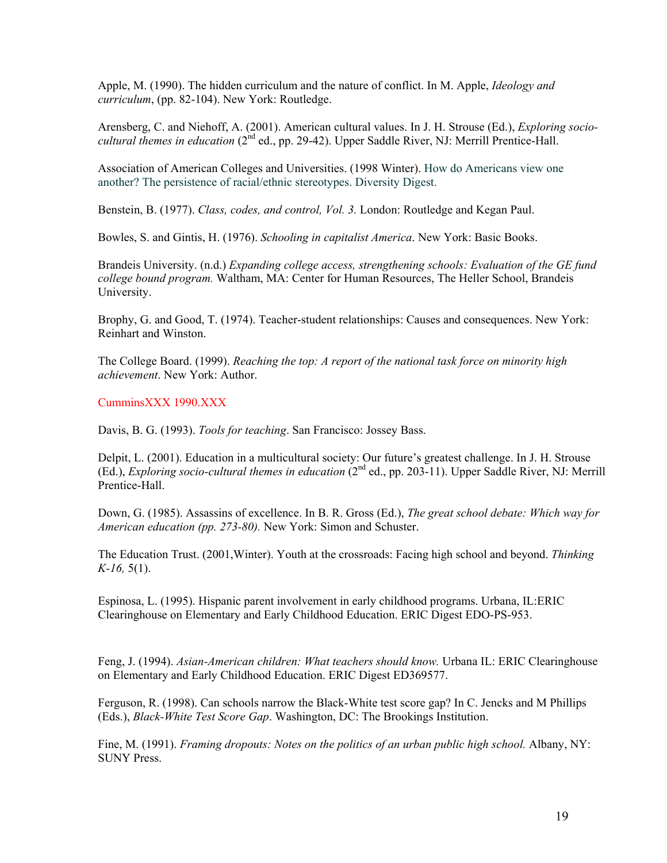Apple, M. (1990). The hidden curriculum and the nature of conflict. In M. Apple, *Ideology and curriculum*, (pp. 82-104). New York: Routledge.

Arensberg, C. and Niehoff, A. (2001). American cultural values. In J. H. Strouse (Ed.), *Exploring sociocultural themes in education* (2<sup>nd</sup> ed., pp. 29-42). Upper Saddle River, NJ: Merrill Prentice-Hall.

Association of American Colleges and Universities. (1998 Winter). How do Americans view one another? The persistence of racial/ethnic stereotypes. Diversity Digest.

Benstein, B. (1977). *Class, codes, and control, Vol. 3.* London: Routledge and Kegan Paul.

Bowles, S. and Gintis, H. (1976). *Schooling in capitalist America*. New York: Basic Books.

Brandeis University. (n.d.) *Expanding college access, strengthening schools: Evaluation of the GE fund college bound program.* Waltham, MA: Center for Human Resources, The Heller School, Brandeis University.

Brophy, G. and Good, T. (1974). Teacher-student relationships: Causes and consequences. New York: Reinhart and Winston.

The College Board. (1999). *Reaching the top: A report of the national task force on minority high achievement*. New York: Author.

CumminsXXX 1990.XXX

Davis, B. G. (1993). *Tools for teaching*. San Francisco: Jossey Bass.

Delpit, L. (2001). Education in a multicultural society: Our future's greatest challenge. In J. H. Strouse (Ed.), *Exploring socio-cultural themes in education* (2nd ed., pp. 203-11). Upper Saddle River, NJ: Merrill Prentice-Hall.

Down, G. (1985). Assassins of excellence. In B. R. Gross (Ed.), *The great school debate: Which way for American education (pp. 273-80).* New York: Simon and Schuster.

The Education Trust. (2001,Winter). Youth at the crossroads: Facing high school and beyond. *Thinking K-16,* 5(1).

Espinosa, L. (1995). Hispanic parent involvement in early childhood programs. Urbana, IL:ERIC Clearinghouse on Elementary and Early Childhood Education. ERIC Digest EDO-PS-953.

Feng, J. (1994). *Asian-American children: What teachers should know.* Urbana IL: ERIC Clearinghouse on Elementary and Early Childhood Education. ERIC Digest ED369577.

Ferguson, R. (1998). Can schools narrow the Black-White test score gap? In C. Jencks and M Phillips (Eds.), *Black-White Test Score Gap*. Washington, DC: The Brookings Institution.

Fine, M. (1991). *Framing dropouts: Notes on the politics of an urban public high school.* Albany, NY: SUNY Press.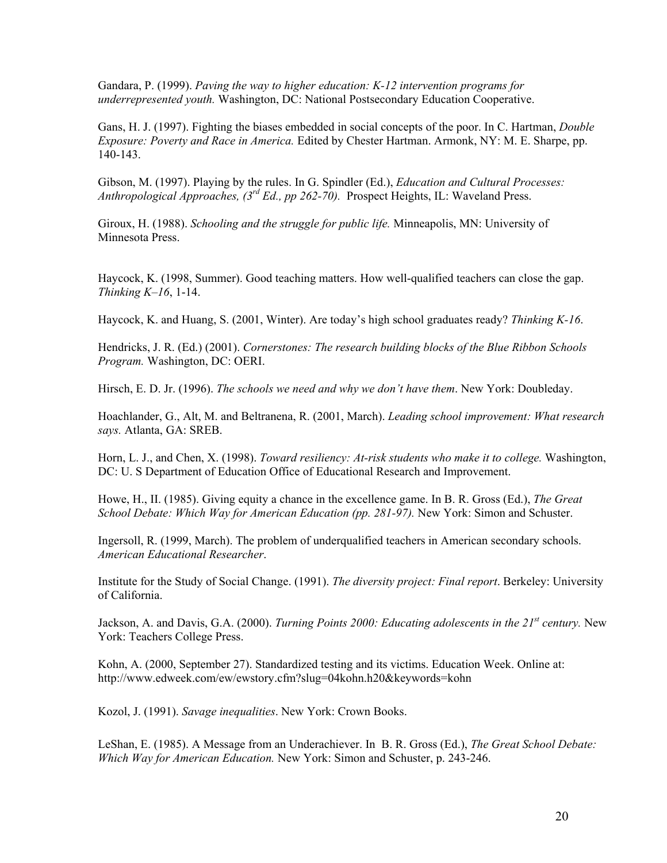Gandara, P. (1999). *Paving the way to higher education: K-12 intervention programs for underrepresented youth.* Washington, DC: National Postsecondary Education Cooperative.

Gans, H. J. (1997). Fighting the biases embedded in social concepts of the poor. In C. Hartman, *Double Exposure: Poverty and Race in America.* Edited by Chester Hartman. Armonk, NY: M. E. Sharpe, pp. 140-143.

Gibson, M. (1997). Playing by the rules. In G. Spindler (Ed.), *Education and Cultural Processes: Anthropological Approaches, (3rd Ed., pp 262-70).* Prospect Heights, IL: Waveland Press.

Giroux, H. (1988). *Schooling and the struggle for public life.* Minneapolis, MN: University of Minnesota Press.

Haycock, K. (1998, Summer). Good teaching matters. How well-qualified teachers can close the gap. *Thinking K–16*, 1-14.

Haycock, K. and Huang, S. (2001, Winter). Are today's high school graduates ready? *Thinking K-16*.

Hendricks, J. R. (Ed.) (2001). *Cornerstones: The research building blocks of the Blue Ribbon Schools Program.* Washington, DC: OERI.

Hirsch, E. D. Jr. (1996). *The schools we need and why we don't have them*. New York: Doubleday.

Hoachlander, G., Alt, M. and Beltranena, R. (2001, March). *Leading school improvement: What research says.* Atlanta, GA: SREB.

Horn, L. J., and Chen, X. (1998). *Toward resiliency: At-risk students who make it to college.* Washington, DC: U. S Department of Education Office of Educational Research and Improvement.

Howe, H., II. (1985). Giving equity a chance in the excellence game. In B. R. Gross (Ed.), *The Great School Debate: Which Way for American Education (pp. 281-97).* New York: Simon and Schuster.

Ingersoll, R. (1999, March). The problem of underqualified teachers in American secondary schools. *American Educational Researcher*.

Institute for the Study of Social Change. (1991). *The diversity project: Final report*. Berkeley: University of California.

Jackson, A. and Davis, G.A. (2000). *Turning Points 2000: Educating adolescents in the 21<sup>st</sup> century*. New York: Teachers College Press.

Kohn, A. (2000, September 27). Standardized testing and its victims. Education Week. Online at: http://www.edweek.com/ew/ewstory.cfm?slug=04kohn.h20&keywords=kohn

Kozol, J. (1991). *Savage inequalities*. New York: Crown Books.

LeShan, E. (1985). A Message from an Underachiever. In B. R. Gross (Ed.), *The Great School Debate: Which Way for American Education.* New York: Simon and Schuster, p. 243-246.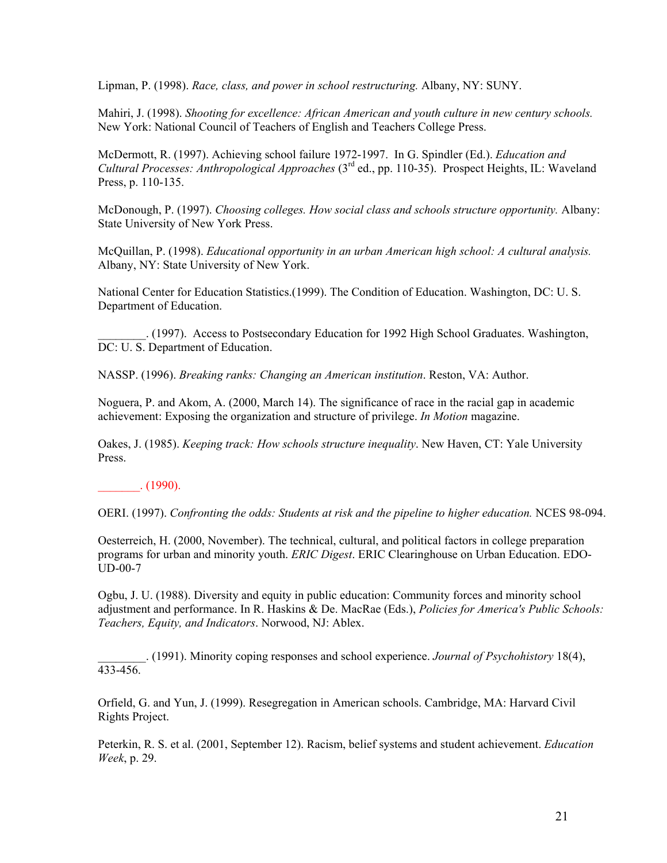Lipman, P. (1998). *Race, class, and power in school restructuring.* Albany, NY: SUNY.

Mahiri, J. (1998). *Shooting for excellence: African American and youth culture in new century schools.* New York: National Council of Teachers of English and Teachers College Press.

McDermott, R. (1997). Achieving school failure 1972-1997. In G. Spindler (Ed.). *Education and Cultural Processes: Anthropological Approaches* (3rd ed., pp. 110-35). Prospect Heights, IL: Waveland Press, p. 110-135.

McDonough, P. (1997). *Choosing colleges. How social class and schools structure opportunity.* Albany: State University of New York Press.

McQuillan, P. (1998). *Educational opportunity in an urban American high school: A cultural analysis.* Albany, NY: State University of New York.

National Center for Education Statistics.(1999). The Condition of Education. Washington, DC: U. S. Department of Education.

\_\_\_\_\_\_\_\_. (1997). Access to Postsecondary Education for 1992 High School Graduates. Washington, DC: U. S. Department of Education.

NASSP. (1996). *Breaking ranks: Changing an American institution*. Reston, VA: Author.

Noguera, P. and Akom, A. (2000, March 14). The significance of race in the racial gap in academic achievement: Exposing the organization and structure of privilege. *In Motion* magazine.

Oakes, J. (1985). *Keeping track: How schools structure inequality*. New Haven, CT: Yale University Press.

 $\frac{1}{2}$ . (1990).

OERI. (1997). *Confronting the odds: Students at risk and the pipeline to higher education.* NCES 98-094.

Oesterreich, H. (2000, November). The technical, cultural, and political factors in college preparation programs for urban and minority youth. *ERIC Digest*. ERIC Clearinghouse on Urban Education. EDO-UD-00-7

Ogbu, J. U. (1988). Diversity and equity in public education: Community forces and minority school adjustment and performance. In R. Haskins & De. MacRae (Eds.), *Policies for America's Public Schools: Teachers, Equity, and Indicators*. Norwood, NJ: Ablex.

\_\_\_\_\_\_\_\_. (1991). Minority coping responses and school experience. *Journal of Psychohistory* 18(4), 433-456.

Orfield, G. and Yun, J. (1999). Resegregation in American schools. Cambridge, MA: Harvard Civil Rights Project.

Peterkin, R. S. et al. (2001, September 12). Racism, belief systems and student achievement. *Education Week*, p. 29.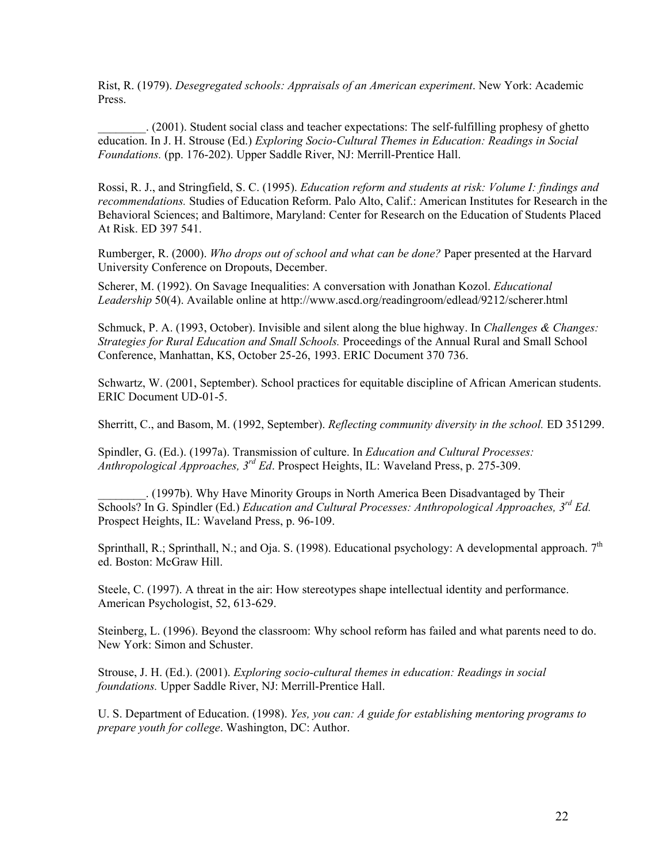Rist, R. (1979). *Desegregated schools: Appraisals of an American experiment*. New York: Academic Press.

\_\_\_\_\_\_\_\_. (2001). Student social class and teacher expectations: The self-fulfilling prophesy of ghetto education. In J. H. Strouse (Ed.) *Exploring Socio-Cultural Themes in Education: Readings in Social Foundations.* (pp. 176-202). Upper Saddle River, NJ: Merrill-Prentice Hall.

Rossi, R. J., and Stringfield, S. C. (1995). *Education reform and students at risk: Volume I: findings and recommendations.* Studies of Education Reform. Palo Alto, Calif.: American Institutes for Research in the Behavioral Sciences; and Baltimore, Maryland: Center for Research on the Education of Students Placed At Risk. ED 397 541.

Rumberger, R. (2000). *Who drops out of school and what can be done?* Paper presented at the Harvard University Conference on Dropouts, December.

Scherer, M. (1992). On Savage Inequalities: A conversation with Jonathan Kozol. *Educational Leadership* 50(4). Available online at http://www.ascd.org/readingroom/edlead/9212/scherer.html

Schmuck, P. A. (1993, October). Invisible and silent along the blue highway. In *Challenges & Changes: Strategies for Rural Education and Small Schools.* Proceedings of the Annual Rural and Small School Conference, Manhattan, KS, October 25-26, 1993. ERIC Document 370 736.

Schwartz, W. (2001, September). School practices for equitable discipline of African American students. ERIC Document UD-01-5.

Sherritt, C., and Basom, M. (1992, September). *Reflecting community diversity in the school.* ED 351299.

Spindler, G. (Ed.). (1997a). Transmission of culture. In *Education and Cultural Processes: Anthropological Approaches, 3rd Ed*. Prospect Heights, IL: Waveland Press, p. 275-309.

\_\_\_\_\_\_\_\_. (1997b). Why Have Minority Groups in North America Been Disadvantaged by Their Schools? In G. Spindler (Ed.) *Education and Cultural Processes: Anthropological Approaches, 3rd Ed.* Prospect Heights, IL: Waveland Press, p. 96-109.

Sprinthall, R.; Sprinthall, N.; and Oja. S. (1998). Educational psychology: A developmental approach.  $7<sup>th</sup>$ ed. Boston: McGraw Hill.

Steele, C. (1997). A threat in the air: How stereotypes shape intellectual identity and performance. American Psychologist, 52, 613-629.

Steinberg, L. (1996). Beyond the classroom: Why school reform has failed and what parents need to do. New York: Simon and Schuster.

Strouse, J. H. (Ed.). (2001). *Exploring socio-cultural themes in education: Readings in social foundations.* Upper Saddle River, NJ: Merrill-Prentice Hall.

U. S. Department of Education. (1998). *Yes, you can: A guide for establishing mentoring programs to prepare youth for college*. Washington, DC: Author.